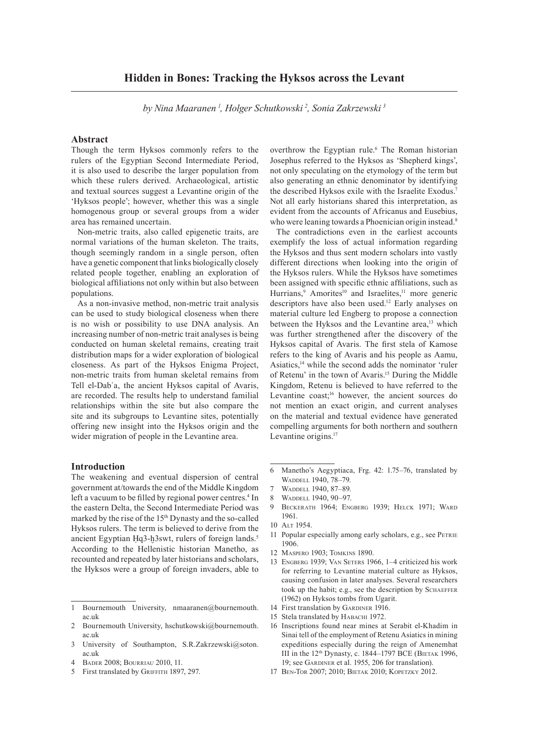## **Hidden in Bones: Tracking the Hyksos across the Levant**

, Holger Schutkowski2 and Sonia Zakrzewski3 *by Nina Maaranen 1 , Holger Schutkowski 2 , Sonia Zakrzewski 3*

### **Abstract**

Though the term Hyksos commonly refers to the rulers of the Egyptian Second Intermediate Period, it is also used to describe the larger population from which these rulers derived. Archaeological, artistic and textual sources suggest a Levantine origin of the 'Hyksos people'; however, whether this was a single homogenous group or several groups from a wider area has remained uncertain.

Non-metric traits, also called epigenetic traits, are normal variations of the human skeleton. The traits though seemingly random in a single person, often have a genetic component that links biologically closely related people together, enabling an exploration of biological affiliations not only within but also between populations.

As a non-invasive method, non-metric trait analysis can be used to study biological closeness when there is no wish or possibility to use DNA analysis. An increasing number of non-metric trait analyses is being conducted on human skeletal remains, creating trait distribution maps for a wider exploration of biological closeness. As part of the Hyksos Enigma Project, non-metric traits from human skeletal remains from Tell el-Dabʿa, the ancient Hyksos capital of Avaris, are recorded. The results help to understand familial relationships within the site but also compare the site and its subgroups to Levantine sites, potentially offering new insight into the Hyksos origin and the wider migration of people in the Levantine area.

### **Introduction**

The weakening and eventual dispersion of central government at/towards the end of the Middle Kingdom left a vacuum to be filled by regional power centres.<sup>4</sup> In the eastern Delta, the Second Intermediate Period was marked by the rise of the 15<sup>th</sup> Dynasty and the so-called Hyksos rulers. The term is believed to derive from the ancient Egyptian Hq3-h3swt, rulers of foreign lands.<sup>5</sup> According to the Hellenistic historian Manetho, as recounted and repeated by later historians and scholars, the Hyksos were a group of foreign invaders, able to

- 3 University of Southampton, S.R.Zakrzewski@soton. ac.uk
- 4 Bader 2008; Bourriau 2010, 11.
- 5 First translated by GRIFFITH 1897, 297.

overthrow the Egyptian rule.<sup>6</sup> The Roman historian Josephus referred to the Hyksos as 'Shepherd kings', not only speculating on the etymology of the term but also generating an ethnic denominator by identifying the described Hyksos exile with the Israelite Exodus.7 Not all early historians shared this interpretation, as evident from the accounts of Africanus and Eusebius, who were leaning towards a Phoenician origin instead.<sup>8</sup>

The contradictions even in the earliest accounts exemplify the loss of actual information regarding the Hyksos and thus sent modern scholars into vastly different directions when looking into the origin of the Hyksos rulers. While the Hyksos have sometimes been assigned with specific ethnic affiliations, such as Hurrians,<sup>9</sup> Amorites<sup>10</sup> and Israelites,<sup>11</sup> more generic descriptors have also been used.<sup>12</sup> Early analyses on material culture led Engberg to propose a connection between the Hyksos and the Levantine area,<sup>13</sup> which was further strengthened after the discovery of the Hyksos capital of Avaris. The first stela of Kamose refers to the king of Avaris and his people as Aamu, Asiatics,14 while the second adds the nominator 'ruler of Retenu' in the town of Avaris.15 During the Middle Kingdom, Retenu is believed to have referred to the Levantine coast;<sup>16</sup> however, the ancient sources do not mention an exact origin, and current analyses on the material and textual evidence have generated compelling arguments for both northern and southern Levantine origins.<sup>17</sup>

- 6 Manetho's Aegyptiaca, Frg. 42: 1.75–76, translated by WADDELL 1940, 78-79.
- 7 WADDELL 1940, 87-89.<br>8 WADDELL 1940, 90-97
- 8 WADDELL 1940, 90-97.<br>9 BECKERATH 1964: ENG
- 9 Beckerath 1964; Engberg 1939; Helck 1971; Ward 1961.
- 10 Alt 1954.
- 11 Popular especially among early scholars, e.g., see PETRIE 1906.
- 12 Maspero 1903; Tomkins 1890.
- 13 Engberg 1939; Van Seters 1966, 1–4 criticized his work for referring to Levantine material culture as Hyksos, causing confusion in later analyses. Several researchers took up the habit; e.g., see the description by SCHAEFFER (1962) on Hyksos tombs from Ugarit.
- 14 First translation by Gardiner 1916.
- 15 Stela translated by Habachi 1972.
- 16 Inscriptions found near mines at Serabit el-Khadim in Sinai tell of the employment of Retenu Asiatics in mining expeditions especially during the reign of Amenemhat III in the  $12<sup>th</sup>$  Dynasty, c. 1844–1797 BCE (BIETAK 1996, 19; see Gardiner et al. 1955, 206 for translation).
- 17 Ben-Tor 2007; 2010; Bietak 2010; Kopetzky 2012.

<sup>1</sup> Bournemouth University, nmaaranen@bournemouth. ac.uk

<sup>2</sup> Bournemouth University, hschutkowski@bournemouth. ac.uk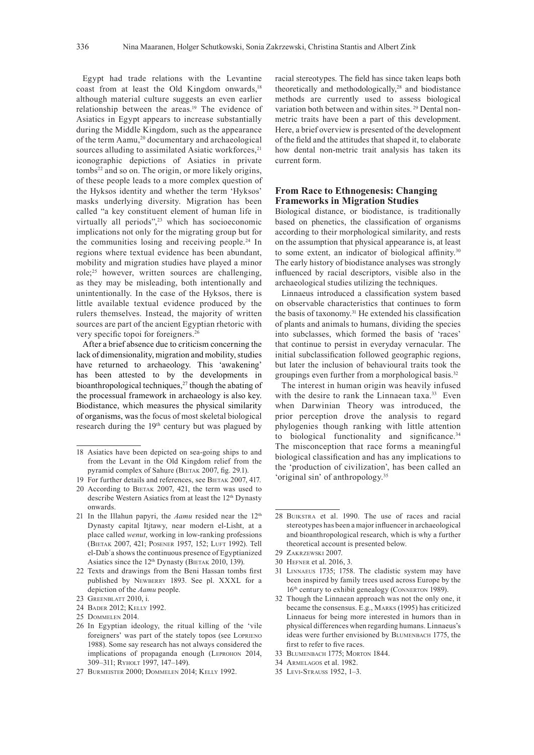Egypt had trade relations with the Levantine coast from at least the Old Kingdom onwards,<sup>18</sup> although material culture suggests an even earlier relationship between the areas.19 The evidence of Asiatics in Egypt appears to increase substantially during the Middle Kingdom, such as the appearance of the term Aamu,<sup>20</sup> documentary and archaeological sources alluding to assimilated Asiatic workforces,<sup>21</sup> iconographic depictions of Asiatics in private tombs<sup>22</sup> and so on. The origin, or more likely origins, of these people leads to a more complex question of the Hyksos identity and whether the term 'Hyksos' masks underlying diversity. Migration has been called "a key constituent element of human life in virtually all periods",<sup>23</sup> which has socioeconomic implications not only for the migrating group but for the communities losing and receiving people.24 In regions where textual evidence has been abundant, mobility and migration studies have played a minor role;25 however, written sources are challenging, as they may be misleading, both intentionally and unintentionally. In the case of the Hyksos, there is little available textual evidence produced by the rulers themselves. Instead, the majority of written sources are part of the ancient Egyptian rhetoric with very specific topoi for foreigners.<sup>26</sup>

After a brief absence due to criticism concerning the lack of dimensionality, migration and mobility, studies have returned to archaeology. This 'awakening' has been attested to by the developments in bioanthropological techniques, $27$  though the abating of the processual framework in archaeology is also key. Biodistance, which measures the physical similarity of organisms, was the focus of most skeletal biological research during the 19<sup>th</sup> century but was plagued by

- 24 Bader 2012; Kelly 1992.
- 25 Dommelen 2014.

racial stereotypes. The field has since taken leaps both theoretically and methodologically,<sup>28</sup> and biodistance methods are currently used to assess biological variation both between and within sites. 29 Dental nonmetric traits have been a part of this development. Here, a brief overview is presented of the development of the field and the attitudes that shaped it, to elaborate how dental non-metric trait analysis has taken its current form.

## **From Race to Ethnogenesis: Changing Frameworks in Migration Studies**

Biological distance, or biodistance, is traditionally based on phenetics, the classification of organisms according to their morphological similarity, and rests on the assumption that physical appearance is, at least to some extent, an indicator of biological affinity.<sup>30</sup> The early history of biodistance analyses was strongly influenced by racial descriptors, visible also in the archaeological studies utilizing the techniques.

Linnaeus introduced a classification system based on observable characteristics that continues to form the basis of taxonomy.31 He extended his classification of plants and animals to humans, dividing the species into subclasses, which formed the basis of 'races' that continue to persist in everyday vernacular. The initial subclassification followed geographic regions, but later the inclusion of behavioural traits took the groupings even further from a morphological basis.<sup>32</sup>

The interest in human origin was heavily infused with the desire to rank the Linnaean taxa.<sup>33</sup> Even when Darwinian Theory was introduced, the prior perception drove the analysis to regard phylogenies though ranking with little attention to biological functionality and significance.<sup>34</sup> The misconception that race forms a meaningful biological classification and has any implications to the 'production of civilization', has been called an 'original sin' of anthropology.35

- 31 Linnaeus 1735; 1758. The cladistic system may have been inspired by family trees used across Europe by the 16<sup>th</sup> century to exhibit genealogy (CONNERTON 1989).
- 32 Though the Linnaean approach was not the only one, it became the consensus. E.g., Marks (1995) has criticized Linnaeus for being more interested in humors than in physical differences when regarding humans. Linnaeus's ideas were further envisioned by Blumenbach 1775, the first to refer to five races.
- 33 Blumenbach 1775; Morton 1844.
- 34 Armelagos et al. 1982.
- 35 Levi-Strauss 1952, 1–3.

<sup>18</sup> Asiatics have been depicted on sea-going ships to and from the Levant in the Old Kingdom relief from the pyramid complex of Sahure (BIETAK 2007, fig. 29.1).

<sup>19</sup> For further details and references, see BIETAK 2007, 417.

<sup>20</sup> According to BIETAK 2007, 421, the term was used to describe Western Asiatics from at least the 12th Dynasty onwards.

<sup>21</sup> In the Illahun papyri, the *Aamu* resided near the  $12<sup>th</sup>$ Dynasty capital Itjtawy, near modern el-Lisht, at a place called *wenut*, working in low-ranking professions (Bietak 2007, 421; Posener 1957, 152; Luft 1992). Tell el-Dabʿa shows the continuous presence of Egyptianized Asiatics since the  $12<sup>th</sup>$  Dynasty (BIETAK 2010, 139).

<sup>22</sup> Texts and drawings from the Beni Hassan tombs first published by NEWBERRY 1893. See pl. XXXL for a depiction of the *Aamu* people.

<sup>23</sup> Greenblatt 2010, i.

<sup>26</sup> In Egyptian ideology, the ritual killing of the 'vile foreigners' was part of the stately topos (see Loprieno 1988). Some say research has not always considered the implications of propaganda enough (LEPROHON 2014, 309–311; Ryholt 1997, 147–149).

<sup>27</sup> Burmeister 2000; Dommelen 2014; Kelly 1992.

<sup>28</sup> Buikstra et al. 1990. The use of races and racial stereotypes has been a major influencer in archaeological and bioanthropological research, which is why a further theoretical account is presented below.

<sup>29</sup> Zakrzewski 2007.

<sup>30</sup> Hefner et al. 2016, 3.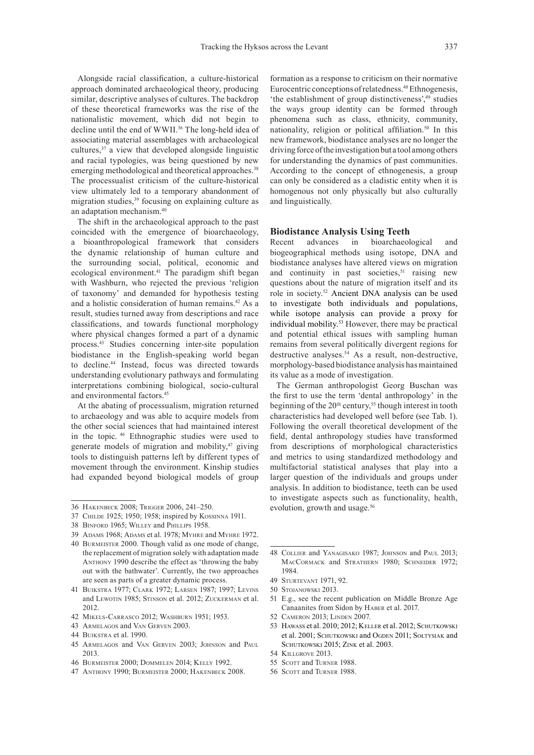Alongside racial classification, a culture-historical approach dominated archaeological theory, producing similar, descriptive analyses of cultures. The backdrop of these theoretical frameworks was the rise of the nationalistic movement, which did not begin to decline until the end of WWII.36 The long-held idea of associating material assemblages with archaeological cultures,37 a view that developed alongside linguistic and racial typologies, was being questioned by new emerging methodological and theoretical approaches.<sup>38</sup> The processualist criticism of the culture-historical view ultimately led to a temporary abandonment of migration studies,<sup>39</sup> focusing on explaining culture as an adaptation mechanism.40

The shift in the archaeological approach to the past coincided with the emergence of bioarchaeology, a bioanthropological framework that considers the dynamic relationship of human culture and the surrounding social, political, economic and ecological environment.41 The paradigm shift began with Washburn, who rejected the previous 'religion of taxonomy' and demanded for hypothesis testing and a holistic consideration of human remains.42 As a result, studies turned away from descriptions and race classifications, and towards functional morphology where physical changes formed a part of a dynamic process.43 Studies concerning inter-site population biodistance in the English-speaking world began to decline.44 Instead, focus was directed towards understanding evolutionary pathways and formulating interpretations combining biological, socio-cultural and environmental factors.45

At the abating of processualism, migration returned to archaeology and was able to acquire models from the other social sciences that had maintained interest in the topic. 46 Ethnographic studies were used to generate models of migration and mobility, $47$  giving tools to distinguish patterns left by different types of movement through the environment. Kinship studies had expanded beyond biological models of group

39 Adams 1968; Adams et al. 1978; Myhre and Myhre 1972.

- 42 Mikels-Carrasco 2012; Washburn 1951; 1953.
- 43 Armelagos and Van Gerven 2003.

45 Armelagos and Van Gerven 2003; Johnson and Paul 2013.

formation as a response to criticism on their normative Eurocentric conceptions of relatedness.<sup>48</sup> Ethnogenesis, 'the establishment of group distinctiveness',49 studies the ways group identity can be formed through phenomena such as class, ethnicity, community, nationality, religion or political affiliation.50 In this new framework, biodistance analyses are no longer the driving force of the investigation but a tool among others for understanding the dynamics of past communities. According to the concept of ethnogenesis, a group can only be considered as a cladistic entity when it is homogenous not only physically but also culturally and linguistically.

# **Biodistance Analysis Using Teeth**<br>Recent advances in bioarchaeol

bioarchaeological and biogeographical methods using isotope, DNA and biodistance analyses have altered views on migration and continuity in past societies, $51$  raising new questions about the nature of migration itself and its role in society.52 Ancient DNA analysis can be used to investigate both individuals and populations, while isotope analysis can provide a proxy for individual mobility.53 However, there may be practical and potential ethical issues with sampling human remains from several politically divergent regions for destructive analyses.<sup>54</sup> As a result, non-destructive, morphology-based biodistance analysis has maintained its value as a mode of investigation.

The German anthropologist Georg Buschan was the first to use the term 'dental anthropology' in the beginning of the 20<sup>th</sup> century,<sup>55</sup> though interest in tooth characteristics had developed well before (see Tab. 1). Following the overall theoretical development of the field, dental anthropology studies have transformed from descriptions of morphological characteristics and metrics to using standardized methodology and multifactorial statistical analyses that play into a larger question of the individuals and groups under analysis. In addition to biodistance, teeth can be used to investigate aspects such as functionality, health, evolution, growth and usage.<sup>56</sup>

- 51 E.g., see the recent publication on Middle Bronze Age Canaanites from Sidon by Haber et al. 2017.
- 52 Cameron 2013; Linden 2007.
- 53 Hawass et al. 2010; 2012; Keller et al. 2012; Schutkowski et al. 2001; SCHUTKOWSKI and OGDEN 2011; SOŁTYSIAK and SCHUTKOWSKI 2015; ZINK et al. 2003.
- 54 Killgrove 2013.
- 55 SCOTT and TURNER 1988.
- 56 SCOTT and TURNER 1988.

<sup>36</sup> Hakenbeck 2008; Trigger 2006, 241–250.

<sup>37</sup> Childe 1925; 1950; 1958; inspired by Kossinna 1911.

<sup>38</sup> Binford 1965; Willey and Phillips 1958.

<sup>40</sup> Burmeister 2000. Though valid as one mode of change, the replacement of migration solely with adaptation made Anthony 1990 describe the effect as 'throwing the baby out with the bathwater'. Currently, the two approaches are seen as parts of a greater dynamic process.

<sup>41</sup> Buikstra 1977; Clark 1972; Larsen 1987; 1997; Levins and Lewotin 1985; Stinson et al. 2012; Zuckerman et al. 2012.

<sup>44</sup> Buikstra et al. 1990.

<sup>46</sup> Burmeister 2000; Dommelen 2014; Kelly 1992.

<sup>47</sup> Anthony 1990; Burmeister 2000; Hakenbeck 2008.

<sup>48</sup> Collier and Yanagisako 1987; Johnson and Paul 2013; MACCORMACK and STRATHERN 1980; SCHNEIDER 1972; 1984.

<sup>49</sup> Sturtevant 1971, 92.

<sup>50</sup> Stojanowski 2013.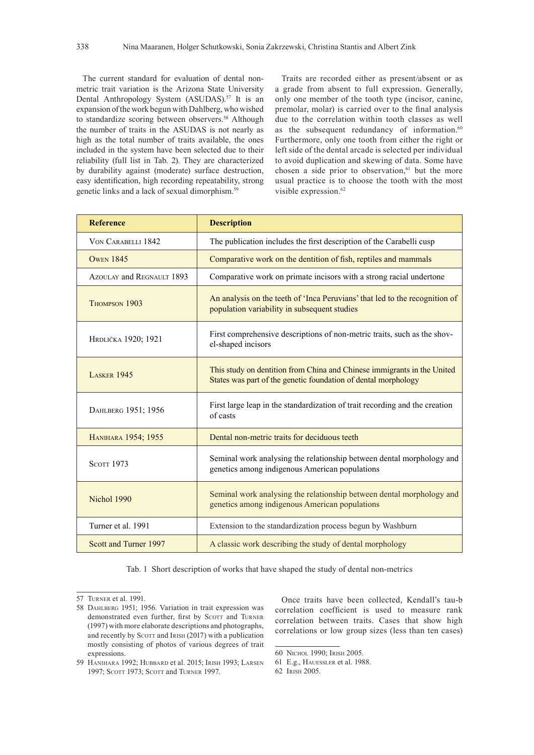The current standard for evaluation of dental nonmetric trait variation is the Arizona State University Dental Anthropology System (ASUDAS).<sup>57</sup> It is an expansion of the work begun with Dahlberg, who wished to standardize scoring between observers.<sup>58</sup> Although the number of traits in the ASUDAS is not nearly as high as the total number of traits available, the ones included in the system have been selected due to their reliability (full list in Tab. 2). They are characterized by durability against (moderate) surface destruction, easy identification, high recording repeatability, strong genetic links and a lack of sexual dimorphism.<sup>59</sup>

Traits are recorded either as present/absent or as a grade from absent to full expression. Generally, only one member of the tooth type (incisor, canine, premolar, molar) is carried over to the final analysis due to the correlation within tooth classes as well as the subsequent redundancy of information.<sup>60</sup> Furthermore, only one tooth from either the right or left side of the dental arcade is selected per individual to avoid duplication and skewing of data. Some have chosen a side prior to observation,<sup>61</sup> but the more usual practice is to choose the tooth with the most visible expression.<sup>62</sup>

| <b>Reference</b>          | <b>Description</b>                                                                                                                        |
|---------------------------|-------------------------------------------------------------------------------------------------------------------------------------------|
| VON CARABELLI 1842        | The publication includes the first description of the Carabelli cusp                                                                      |
| <b>OWEN 1845</b>          | Comparative work on the dentition of fish, reptiles and mammals                                                                           |
| AZOULAY and REGNAULT 1893 | Comparative work on primate incisors with a strong racial undertone                                                                       |
| THOMPSON 1903             | An analysis on the teeth of 'Inca Peruvians' that led to the recognition of<br>population variability in subsequent studies               |
| HRDLIČKA 1920; 1921       | First comprehensive descriptions of non-metric traits, such as the shov-<br>el-shaped incisors                                            |
| <b>LASKER 1945</b>        | This study on dentition from China and Chinese immigrants in the United<br>States was part of the genetic foundation of dental morphology |
| DAHLBERG 1951; 1956       | First large leap in the standardization of trait recording and the creation<br>of casts                                                   |
| HANIHARA 1954; 1955       | Dental non-metric traits for deciduous teeth                                                                                              |
| <b>SCOTT 1973</b>         | Seminal work analysing the relationship between dental morphology and<br>genetics among indigenous American populations                   |
| Nichol 1990               | Seminal work analysing the relationship between dental morphology and<br>genetics among indigenous American populations                   |
| Turner et al. 1991        | Extension to the standardization process begun by Washburn                                                                                |
| Scott and Turner 1997     | A classic work describing the study of dental morphology                                                                                  |

Tab. 1 Short description of works that have shaped the study of dental non-metrics

1997; SCOTT 1973; SCOTT and TURNER 1997.

<sup>57</sup> Turner et al. 1991.

<sup>58</sup> DAHLBERG 1951; 1956. Variation in trait expression was demonstrated even further, first by SCOTT and TURNER (1997) with more elaborate descriptions and photographs, and recently by SCOTT and IRISH (2017) with a publication mostly consisting of photos of various degrees of trait expressions. 59 Hanihara 1992; Hubbard et al. 2015; Irish 1993; Larsen

Once traits have been collected, Kendall's tau-b correlation coefficient is used to measure rank correlation between traits. Cases that show high correlations or low group sizes (less than ten cases)

<sup>60</sup> Nichol 1990; Irish 2005.

<sup>61</sup> E.g., Hauessler et al. 1988.

<sup>62</sup> Irish 2005.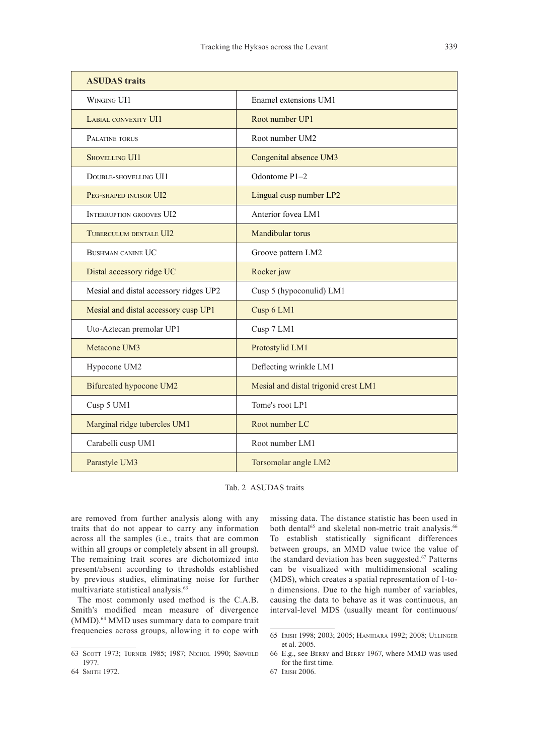| <b>ASUDAS</b> traits                   |                                      |  |  |  |
|----------------------------------------|--------------------------------------|--|--|--|
| WINGING UI1                            | Enamel extensions UM1                |  |  |  |
| LABIAL CONVEXITY UI1                   | Root number UP1                      |  |  |  |
| PALATINE TORUS                         | Root number UM2                      |  |  |  |
| <b>SHOVELLING UI1</b>                  | Congenital absence UM3               |  |  |  |
| DOUBLE-SHOVELLING UI1                  | Odontome P1-2                        |  |  |  |
| PEG-SHAPED INCISOR UI2                 | Lingual cusp number LP2              |  |  |  |
| <b>INTERRUPTION GROOVES UI2</b>        | Anterior fovea LM1                   |  |  |  |
| TUBERCULUM DENTALE UI2                 | Mandibular torus                     |  |  |  |
| <b>BUSHMAN CANINE UC</b>               | Groove pattern LM2                   |  |  |  |
| Distal accessory ridge UC              | Rocker jaw                           |  |  |  |
| Mesial and distal accessory ridges UP2 | Cusp 5 (hypoconulid) LM1             |  |  |  |
| Mesial and distal accessory cusp UP1   | Cusp 6 LM1                           |  |  |  |
| Uto-Aztecan premolar UP1               | Cusp 7 LM1                           |  |  |  |
| Metacone UM3                           | Protostylid LM1                      |  |  |  |
| Hypocone UM2                           | Deflecting wrinkle LM1               |  |  |  |
| Bifurcated hypocone UM2                | Mesial and distal trigonid crest LM1 |  |  |  |
| Cusp 5 UM1                             | Tome's root LP1                      |  |  |  |
| Marginal ridge tubercles UM1           | Root number LC                       |  |  |  |
| Carabelli cusp UM1                     | Root number LM1                      |  |  |  |
| Parastyle UM3                          | Torsomolar angle LM2                 |  |  |  |

Tab. 2 ASUDAS traits

are removed from further analysis along with any traits that do not appear to carry any information across all the samples (i.e., traits that are common within all groups or completely absent in all groups). The remaining trait scores are dichotomized into present/absent according to thresholds established by previous studies, eliminating noise for further multivariate statistical analysis.<sup>63</sup>

The most commonly used method is the C.A.B. Smith's modified mean measure of divergence (MMD).64 MMD uses summary data to compare trait frequencies across groups, allowing it to cope with missing data. The distance statistic has been used in both dental<sup>65</sup> and skeletal non-metric trait analysis.<sup>66</sup> To establish statistically significant differences between groups, an MMD value twice the value of the standard deviation has been suggested.<sup>67</sup> Patterns can be visualized with multidimensional scaling (MDS), which creates a spatial representation of 1-ton dimensions. Due to the high number of variables, causing the data to behave as it was continuous, an interval-level MDS (usually meant for continuous/

<sup>63</sup> Scott 1973; Turner 1985; 1987; Nichol 1990; Sjøvold 1977.

<sup>64</sup> Smith 1972.

<sup>65</sup> Irish 1998; 2003; 2005; Hanihara 1992; 2008; Ullinger et al. 2005.

<sup>66</sup> E.g., see Berry and Berry 1967, where MMD was used for the first time.

<sup>67</sup> Irish 2006.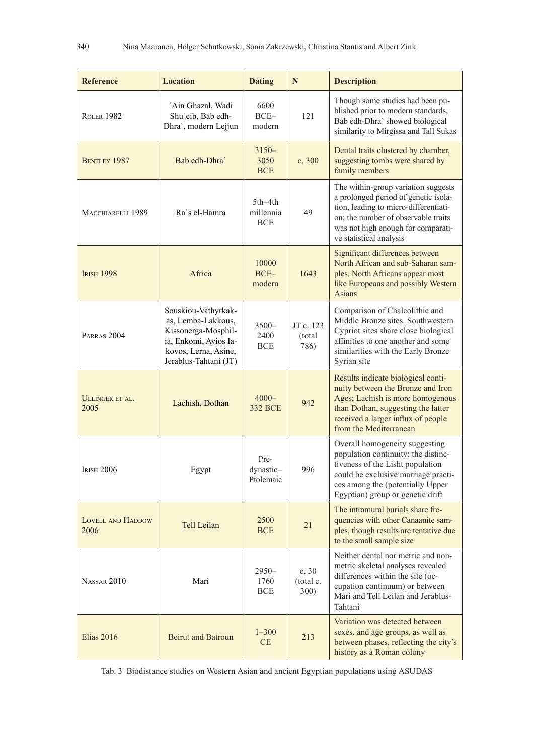| <b>Reference</b>                                                                                 | <b>Location</b>                                                                                                                            | <b>Dating</b>                      | N                           | <b>Description</b>                                                                                                                                                                                                           |
|--------------------------------------------------------------------------------------------------|--------------------------------------------------------------------------------------------------------------------------------------------|------------------------------------|-----------------------------|------------------------------------------------------------------------------------------------------------------------------------------------------------------------------------------------------------------------------|
| 'Ain Ghazal, Wadi<br>Shu'eib, Bab edh-<br><b>ROLER 1982</b><br>Dhra <sup>'</sup> , modern Lejjun |                                                                                                                                            | 6600<br>$BCE-$<br>modern           | 121                         | Though some studies had been pu-<br>blished prior to modern standards,<br>Bab edh-Dhra' showed biological<br>similarity to Mirgissa and Tall Sukas                                                                           |
| <b>BENTLEY 1987</b>                                                                              | Bab edh-Dhra                                                                                                                               |                                    | c. 300                      | Dental traits clustered by chamber,<br>suggesting tombs were shared by<br>family members                                                                                                                                     |
| Ra's el-Hamra<br>MACCHIARELLI 1989                                                               |                                                                                                                                            | 5th-4th<br>millennia<br><b>BCE</b> | 49                          | The within-group variation suggests<br>a prolonged period of genetic isola-<br>tion, leading to micro-differentiati-<br>on; the number of observable traits<br>was not high enough for comparati-<br>ve statistical analysis |
| <b>IRISH 1998</b>                                                                                | Africa                                                                                                                                     | 10000<br>$BCE-$<br>modern          | 1643                        | Significant differences between<br>North African and sub-Saharan sam-<br>ples. North Africans appear most<br>like Europeans and possibly Western<br><b>Asians</b>                                                            |
| PARRAS <sub>2004</sub>                                                                           | Souskiou-Vathyrkak-<br>as, Lemba-Lakkous,<br>Kissonerga-Mosphil-<br>ia, Enkomi, Ayios Ia-<br>kovos, Lerna, Asine,<br>Jerablus-Tahtani (JT) | $3500 -$<br>2400<br><b>BCE</b>     | JT c. 123<br>(total<br>786) | Comparison of Chalcolithic and<br>Middle Bronze sites. Southwestern<br>Cypriot sites share close biological<br>affinities to one another and some<br>similarities with the Early Bronze<br>Syrian site                       |
| ULLINGER ET AL.<br>2005                                                                          | Lachish, Dothan                                                                                                                            | $4000 -$<br><b>332 BCE</b>         | 942                         | Results indicate biological conti-<br>nuity between the Bronze and Iron<br>Ages; Lachish is more homogenous<br>than Dothan, suggesting the latter<br>received a larger influx of people<br>from the Mediterranean            |
| <b>IRISH 2006</b>                                                                                | Egypt                                                                                                                                      | Pre-<br>dynastic-<br>Ptolemaic     | 996                         | Overall homogeneity suggesting<br>population continuity; the distinc-<br>tiveness of the Lisht population<br>could be exclusive marriage practi-<br>ces among the (potentially Upper<br>Egyptian) group or genetic drift     |
| LOVELL AND HADDOW<br>Tell Leilan<br>2006                                                         |                                                                                                                                            | 2500<br><b>BCE</b>                 | 21                          | The intramural burials share fre-<br>quencies with other Canaanite sam-<br>ples, though results are tentative due<br>to the small sample size                                                                                |
| NASSAR <sub>2010</sub><br>Mari                                                                   |                                                                                                                                            | $2950 -$<br>1760<br><b>BCE</b>     | c.30<br>(total c.<br>300)   | Neither dental nor metric and non-<br>metric skeletal analyses revealed<br>differences within the site (oc-<br>cupation continuum) or between<br>Mari and Tell Leilan and Jerablus-<br>Tahtani                               |
| Elias 2016<br><b>Beirut and Batroun</b>                                                          |                                                                                                                                            | $1 - 300$<br>CE                    | 213                         | Variation was detected between<br>sexes, and age groups, as well as<br>between phases, reflecting the city's<br>history as a Roman colony                                                                                    |

Tab. 3 Biodistance studies on Western Asian and ancient Egyptian populations using ASUDAS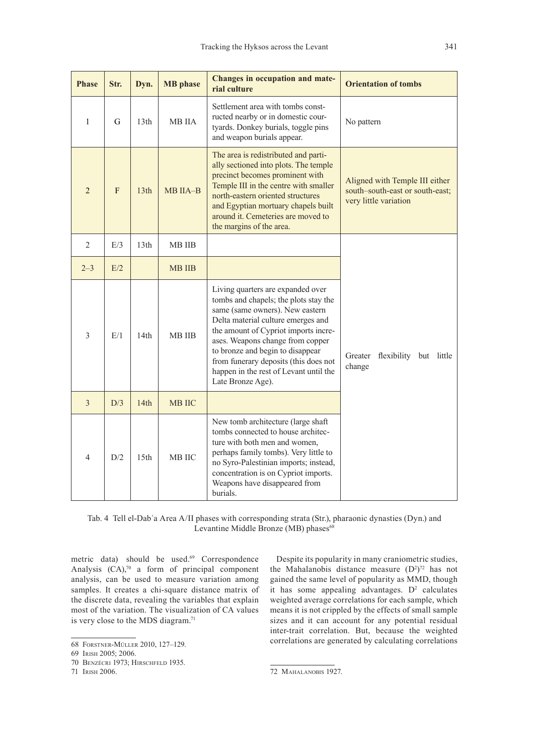| <b>Phase</b>   | Str. | Dyn.             | <b>MB</b> phase | <b>Changes in occupation and mate-</b><br>rial culture                                                                                                                                                                                                                                                                                                                      | <b>Orientation of tombs</b>                                                                |
|----------------|------|------------------|-----------------|-----------------------------------------------------------------------------------------------------------------------------------------------------------------------------------------------------------------------------------------------------------------------------------------------------------------------------------------------------------------------------|--------------------------------------------------------------------------------------------|
| $\mathbf{1}$   | G    | 13 <sub>th</sub> | MB IIA          | Settlement area with tombs const-<br>ructed nearby or in domestic cour-<br>tyards. Donkey burials, toggle pins<br>and weapon burials appear.                                                                                                                                                                                                                                | No pattern                                                                                 |
| $\overline{2}$ | F    | 13th             | MB IIA-B        | The area is redistributed and parti-<br>ally sectioned into plots. The temple<br>precinct becomes prominent with<br>Temple III in the centre with smaller<br>north-eastern oriented structures<br>and Egyptian mortuary chapels built<br>around it. Cemeteries are moved to<br>the margins of the area.                                                                     | Aligned with Temple III either<br>south-south-east or south-east;<br>very little variation |
| $\overline{2}$ | E/3  | 13th             | <b>MB IIB</b>   |                                                                                                                                                                                                                                                                                                                                                                             |                                                                                            |
| $2 - 3$        | E/2  |                  | <b>MB IIB</b>   |                                                                                                                                                                                                                                                                                                                                                                             |                                                                                            |
| 3              | E/1  | 14 <sub>th</sub> | <b>MB IIB</b>   | Living quarters are expanded over<br>tombs and chapels; the plots stay the<br>same (same owners). New eastern<br>Delta material culture emerges and<br>the amount of Cypriot imports incre-<br>ases. Weapons change from copper<br>to bronze and begin to disappear<br>from funerary deposits (this does not<br>happen in the rest of Levant until the<br>Late Bronze Age). | Greater<br>flexibility but<br>little<br>change                                             |
| 3              | D/3  | 14th             | <b>MB IIC</b>   |                                                                                                                                                                                                                                                                                                                                                                             |                                                                                            |
| $\overline{4}$ | D/2  | 15th             | <b>MB IIC</b>   | New tomb architecture (large shaft<br>tombs connected to house architec-<br>ture with both men and women,<br>perhaps family tombs). Very little to<br>no Syro-Palestinian imports; instead,<br>concentration is on Cypriot imports.<br>Weapons have disappeared from<br>burials.                                                                                            |                                                                                            |

Tab. 4 Tell el-Dabʿa Area A/II phases with corresponding strata (Str.), pharaonic dynasties (Dyn.) and Levantine Middle Bronze (MB) phases<sup>68</sup>

metric data) should be used.<sup>69</sup> Correspondence Analysis  $(CA)$ ,<sup>70</sup> a form of principal component analysis, can be used to measure variation among samples. It creates a chi-square distance matrix of the discrete data, revealing the variables that explain most of the variation. The visualization of CA values is very close to the MDS diagram.<sup>71</sup>

Despite its popularity in many craniometric studies, the Mahalanobis distance measure  $(D^2)^{72}$  has not gained the same level of popularity as MMD, though it has some appealing advantages.  $D^2$  calculates weighted average correlations for each sample, which means it is not crippled by the effects of small sample sizes and it can account for any potential residual inter-trait correlation. But, because the weighted correlations are generated by calculating correlations

<sup>68</sup> Forstner-Müller 2010, 127–129.

<sup>69</sup> Irish 2005; 2006.

<sup>70</sup> Benzécri 1973; Hirschfeld 1935.

<sup>71</sup> Irish 2006.

<sup>72</sup> Mahalanobis 1927.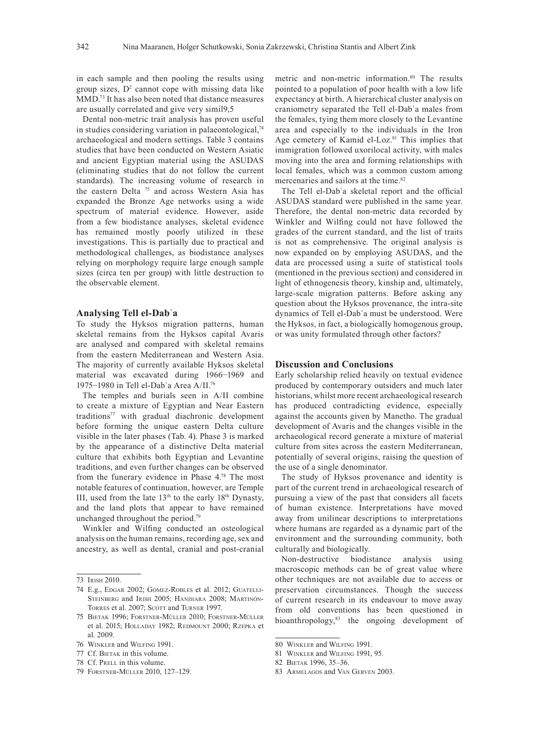in each sample and then pooling the results using group sizes,  $D^2$  cannot cope with missing data like MMD.73 It has also been noted that distance measures are usually correlated and give very simil9,5

Dental non-metric trait analysis has proven useful in studies considering variation in palaeontological, $74$ archaeological and modern settings. Table 3 contains studies that have been conducted on Western Asiatic and ancient Egyptian material using the ASUDAS (eliminating studies that do not follow the current standards). The increasing volume of research in the eastern Delta<sup>75</sup> and across Western Asia has expanded the Bronze Age networks using a wide spectrum of material evidence. However, aside from a few biodistance analyses, skeletal evidence has remained mostly poorly utilized in these investigations. This is partially due to practical and methodological challenges, as biodistance analyses relying on morphology require large enough sample sizes (circa ten per group) with little destruction to the observable element.

#### **Analysing Tell el-Dabʿa**

To study the Hyksos migration patterns, human skeletal remains from the Hyksos capital Avaris are analysed and compared with skeletal remains from the eastern Mediterranean and Western Asia. The majority of currently available Hyksos skeletal material was excavated during 1966−1969 and 1975−1980 in Tell el-Dabʿa Area A/II.76

The temples and burials seen in A/II combine to create a mixture of Egyptian and Near Eastern traditions77 with gradual diachronic development before forming the unique eastern Delta culture visible in the later phases (Tab. 4). Phase 3 is marked by the appearance of a distinctive Delta material culture that exhibits both Egyptian and Levantine traditions, and even further changes can be observed from the funerary evidence in Phase 4.78 The most notable features of continuation, however, are Temple III, used from the late  $13<sup>th</sup>$  to the early  $18<sup>th</sup>$  Dynasty, and the land plots that appear to have remained unchanged throughout the period.79

Winkler and Wilfing conducted an osteological analysis on the human remains, recording age, sex and ancestry, as well as dental, cranial and post-cranial

- 78 Cf. PRELL in this volume.
- 79 Forstner-Müller 2010, 127–129.

metric and non-metric information.80 The results pointed to a population of poor health with a low life expectancy at birth. A hierarchical cluster analysis on craniometry separated the Tell el-Dabʿa males from the females, tying them more closely to the Levantine area and especially to the individuals in the Iron Age cemetery of Kamid el-Loz.<sup>81</sup> This implies that immigration followed uxorilocal activity, with males moving into the area and forming relationships with local females, which was a common custom among mercenaries and sailors at the time.<sup>82</sup>

The Tell el-Dabʿa skeletal report and the official ASUDAS standard were published in the same year. Therefore, the dental non-metric data recorded by Winkler and Wilfing could not have followed the grades of the current standard, and the list of traits is not as comprehensive. The original analysis is now expanded on by employing ASUDAS, and the data are processed using a suite of statistical tools (mentioned in the previous section) and considered in light of ethnogenesis theory, kinship and, ultimately, large-scale migration patterns. Before asking any question about the Hyksos provenance, the intra-site dynamics of Tell el-Dabʿa must be understood. Were the Hyksos, in fact, a biologically homogenous group, or was unity formulated through other factors?

#### **Discussion and Conclusions**

Early scholarship relied heavily on textual evidence produced by contemporary outsiders and much later historians, whilst more recent archaeological research has produced contradicting evidence, especially against the accounts given by Manetho. The gradual development of Avaris and the changes visible in the archaeological record generate a mixture of material culture from sites across the eastern Mediterranean, potentially of several origins, raising the question of the use of a single denominator.

The study of Hyksos provenance and identity is part of the current trend in archaeological research of pursuing a view of the past that considers all facets of human existence. Interpretations have moved away from unilinear descriptions to interpretations where humans are regarded as a dynamic part of the environment and the surrounding community, both culturally and biologically.

Non-destructive biodistance analysis using macroscopic methods can be of great value where other techniques are not available due to access or preservation circumstances. Though the success of current research in its endeavour to move away from old conventions has been questioned in bioanthropology,<sup>83</sup> the ongoing development of

- 81 Winkler and Wilfing 1991, 95.
- 82 Bietak 1996, 35–36.

<sup>73</sup> Irish 2010.

<sup>74</sup> E.g., Edgar 2002; Gómez-Robles et al. 2012; Guatelli-STEINBERG and IRISH 2005; HANIHARA 2008; MARTINÓN-TORRES et al. 2007; SCOTT and TURNER 1997.

<sup>75</sup> Bietak 1996; Forstner-Müller 2010; Forstner-Müller et al. 2015; Holladay 1982; Redmount 2000; Rzepka et al. 2009.

<sup>76</sup> Winkler and Wilfing 1991.

<sup>77</sup> Cf. BIETAK in this volume.

<sup>80</sup> Winkler and Wilfing 1991.

<sup>83</sup> Armelagos and Van Gerven 2003.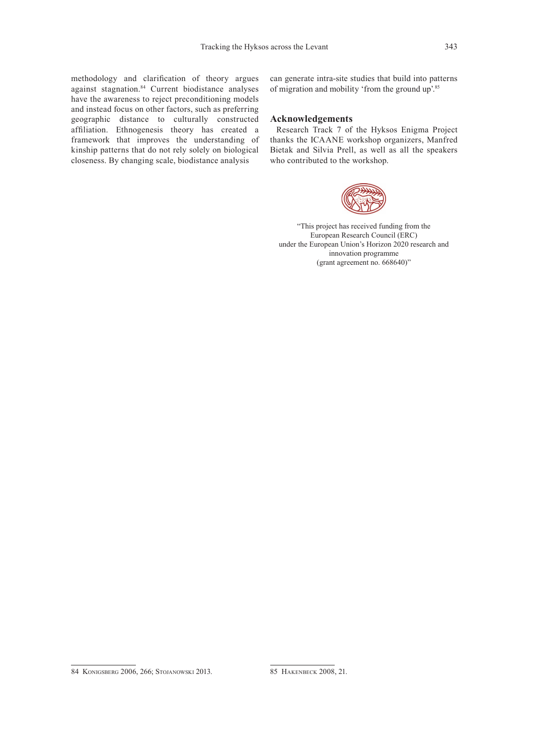methodology and clarification of theory argues against stagnation.<sup>84</sup> Current biodistance analyses have the awareness to reject preconditioning models and instead focus on other factors, such as preferring geographic distance to culturally constructed affiliation. Ethnogenesis theory has created a framework that improves the understanding of kinship patterns that do not rely solely on biological closeness. By changing scale, biodistance analysis

can generate intra-site studies that build into patterns of migration and mobility 'from the ground up'.<sup>85</sup>

#### **Acknowledgements**

Research Track 7 of the Hyksos Enigma Project thanks the ICAANE workshop organizers, Manfred Bietak and Silvia Prell, as well as all the speakers who contributed to the workshop.



"This project has received funding from the European Research Council (ERC) under the European Union's Horizon 2020 research and innovation programme (grant agreement no. 668640)"

<sup>84</sup> Konigsberg 2006, 266; Stojanowski 2013.

<sup>85</sup> Hakenbeck 2008, 21.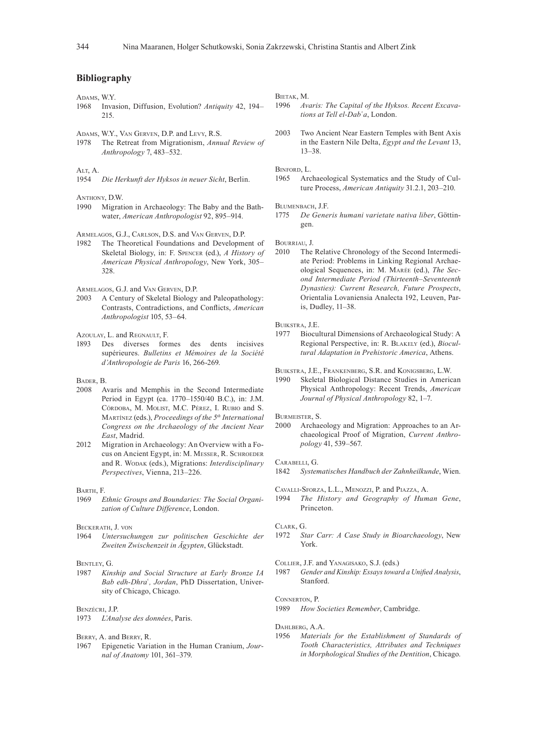### **Bibliography**

Adams, W.Y.

- 1968 Invasion, Diffusion, Evolution? *Antiquity* 42, 194– 215.
- ADAMS, W.Y., VAN GERVEN, D.P. and Levy, R.S.<br>1978 The Retreat from Migrationism Anni
- The Retreat from Migrationism, *Annual Review of Anthropology* 7, 483–532.

#### ALT, A.

1954 *Die Herkunft der Hyksos in neuer Sicht*, Berlin.

Anthony, D.W.

1990 Migration in Archaeology: The Baby and the Bathwater, *American Anthropologist* 92, 895–914.

Armelagos, G.J., Carlson, D.S. and Van Gerven, D.P.

1982 The Theoretical Foundations and Development of Skeletal Biology, in: F. Spencer (ed.), *A History of American Physical Anthropology*, New York, 305– 328.

Armelagos, G.J. and Van Gerven, D.P.

2003 A Century of Skeletal Biology and Paleopathology: Contrasts, Contradictions, and Conflicts, *American Anthropologist* 105, 53–64.

Azoulay, L. and Regnault, F.

1893 Des diverses formes des dents incisives supérieures. *Bulletins et Mémoires de la Société d'Anthropologie de Paris* 16, 266-269.

#### Bader, B.

- 2008 Avaris and Memphis in the Second Intermediate Period in Egypt (ca. 1770–1550/40 B.C.), in: J.M. Córdoba, M. Molist, M.C. Pérez, I. Rubio and S. Martínez (eds.), *Proceedings of the 5th International Congress on the Archaeology of the Ancient Near East*, Madrid.
- 2012 Migration in Archaeology: An Overview with a Focus on Ancient Egypt, in: M. Messer, R. Schroeder and R. Wodak (eds.), Migrations: *Interdisciplinary Perspectives*, Vienna, 213–226.

#### Barth, F.

1969 *Ethnic Groups and Boundaries: The Social Organization of Culture Difference*, London.

## BECKERATH, J. VON<br>1964 Untersuck

1964 *Untersuchungen zur politischen Geschichte der Zweiten Zwischenzeit in Ägypten*, Glückstadt.

Bentley, G.

1987 *Kinship and Social Structure at Early Bronze IA Bab edh-Dhraʿ, Jordan*, PhD Dissertation, University of Chicago, Chicago.

#### Benzécri, J.P.

1973 *L'Analyse des données*, Paris.

Berry, A. and Berry, R.

1967 Epigenetic Variation in the Human Cranium, *Journal of Anatomy* 101, 361–379.

Bietak, M.

- 1996 *Avaris: The Capital of the Hyksos. Recent Excavations at Tell el-Dabʿa*, London.
- 2003 Two Ancient Near Eastern Temples with Bent Axis in the Eastern Nile Delta, *Egypt and the Levant* 13, 13–38.

Binford, L.

1965 Archaeological Systematics and the Study of Culture Process, *American Antiquity* 31.2.1, 203–210.

Blumenbach, J.F.

1775 *De Generis humani varietate nativa liber*, Göttingen.

BOURRIAU, J.<br>2010 The

The Relative Chronology of the Second Intermediate Period: Problems in Linking Regional Archaeological Sequences, in: M. Marée (ed.), *The Second Intermediate Period (Thirteenth–Seventeenth Dynasties): Current Research, Future Prospects*, Orientalia Lovaniensia Analecta 192, Leuven, Paris, Dudley, 11–38.

Buikstra, J.E.

1977 Biocultural Dimensions of Archaeological Study: A Regional Perspective, in: R. Blakely (ed.), *Biocultural Adaptation in Prehistoric America*, Athens.

Buikstra, J.E., Frankenberg, S.R. and Konigsberg, L.W.

1990 Skeletal Biological Distance Studies in American Physical Anthropology: Recent Trends, *American Journal of Physical Anthropology* 82, 1–7.

BURMEISTER, S.<br>2000 Archa Archaeology and Migration: Approaches to an Archaeological Proof of Migration, *Current Anthropology* 41, 539–567.

Carabelli, G.

1842 *Systematisches Handbuch der Zahnheilkunde*, Wien.

Cavalli-Sforza, L.L., Menozzi, P. and Piazza, A.

1994 *The History and Geography of Human Gene*, Princeton.

#### Clark, G.

1972 *Star Carr: A Case Study in Bioarchaeology*, New York.

COLLIER, J.F. and YANAGISAKO, S.J. (eds.)<br>1987 Gender and Kinshin: Essays towar

1987 *Gender and Kinship: Essays toward a Unified Analysis*, Stanford.

Connerton, P.

1989 *How Societies Remember*, Cambridge.

Dahlberg, A.A.

1956 *Materials for the Establishment of Standards of Tooth Characteristics, Attributes and Techniques in Morphological Studies of the Dentition*, Chicago.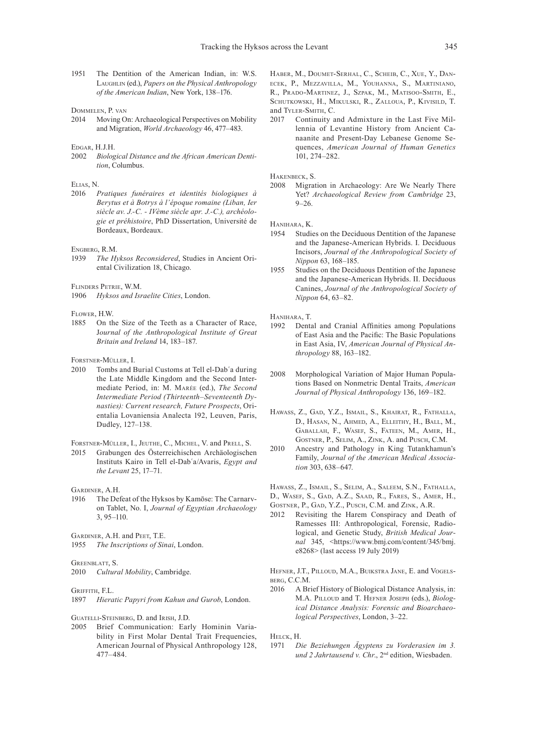- 1951 The Dentition of the American Indian, in: W.S. Laughlin (ed.), *Papers on the Physical Anthropology of the American Indian*, New York, 138–176.
- Dommelen, P. van
- 2014 Moving On: Archaeological Perspectives on Mobility and Migration, *World Archaeology* 46, 477–483.

## EDGAR, H.J.H.<br>2002 Biolog

**Biological Distance and the African American Denti***tion*, Columbus.

# ELIAS, N.<br>2016 *I*

2016 *Pratiques funéraires et identités biologiques à Berytus et à Botrys à l'époque romaine (Liban, Ier siècle av. J.-C. - IVème siècle apr. J.-C.), archéologie et préhistoire*, PhD Dissertation, Université de Bordeaux, Bordeaux.

#### Engberg, R.M.

1939 *The Hyksos Reconsidered*, Studies in Ancient Oriental Civilization 18, Chicago.

Flinders Petrie, W.M.

1906 *Hyksos and Israelite Cities*, London.

FLOWER, H.W.<br>1885 On the

On the Size of the Teeth as a Character of Race, J*ournal of the Anthropological Institute of Great Britain and Ireland* 14, 183–187.

FORSTNER-MÜLLER, I.<br>2010 Tombs and I

Tombs and Burial Customs at Tell el-Dab'a during the Late Middle Kingdom and the Second Intermediate Period, in: M. Marée (ed.), *The Second Intermediate Period (Thirteenth–Seventeenth Dynasties): Current research, Future Prospects*, Orientalia Lovaniensia Analecta 192, Leuven, Paris, Dudley, 127–138.

Forstner-Müller, I., Jeuthe, C., Michel, V. and Prell, S.

2015 Grabungen des Österreichischen Archäologischen Instituts Kairo in Tell el-Dabʿa/Avaris, *Egypt and the Levant* 25, 17–71.

GARDINER A H.

1916 The Defeat of the Hyksos by Kamōse: The Carnarvon Tablet, No. I, *Journal of Egyptian Archaeology*  3, 95–110.

Gardiner, A.H. and Peet, T.E.

1955 *The Inscriptions of Sinai*, London.

Greenblatt, S.

2010 *Cultural Mobility*, Cambridge.

#### GRIFFITH, F.L.

1897 *Hieratic Papyri from Kahun and Gurob*, London.

GUATELLI-STEINBERG, D. and IRISH, J.D.<br>2005 Rrief Communication: Far

Brief Communication: Early Hominin Variability in First Molar Dental Trait Frequencies, American Journal of Physical Anthropology 128, 477–484.

Haber, M., Doumet-Serhal, C., Scheib, C., Xue, Y., Danecek, P., Mezzavilla, M., Youhanna, S., Martiniano, R., Prado-Martinez, J., Szpak, M., Matisoo-Smith, E., Schutkowski, H., Mikulski, R., Zalloua, P., Kivisild, T. and Tyler-Smith, C.

2017 Continuity and Admixture in the Last Five Millennia of Levantine History from Ancient Canaanite and Present-Day Lebanese Genome Sequences, *American Journal of Human Genetics* 101, 274–282.

Hakenbeck, S.

2008 Migration in Archaeology: Are We Nearly There Yet? *Archaeological Review from Cambridge* 23, 9–26.

Hanihara, K.<br>1954 **Studi** 

- Studies on the Deciduous Dentition of the Japanese and the Japanese-American Hybrids. I. Deciduous Incisors, *Journal of the Anthropological Society of Nippon* 63, 168–185.
- 1955 Studies on the Deciduous Dentition of the Japanese and the Japanese-American Hybrids. II. Deciduous Canines, *Journal of the Anthropological Society of Nippon* 64, 63–82.

Hanihara, T.

- 1992 Dental and Cranial Affinities among Populations of East Asia and the Pacific: The Basic Populations in East Asia, IV, *American Journal of Physical Anthropology* 88, 163–182.
- 2008 Morphological Variation of Major Human Populations Based on Nonmetric Dental Traits, *American Journal of Physical Anthropology* 136, 169–182.
- HAWASS, Z., GAD, Y.Z., ISMAIL, S., KHAIRAT, R., FATHALLA, D., Hasan, N., Ahmed, A., Elleithy, H., Ball, M., Gaballah, F., Wasef, S., Fateen, M., Amer, H., Gostner, P., Selim, A., Zink, A. and Pusch, C.M.
- 2010 Ancestry and Pathology in King Tutankhamun's Family, *Journal of the American Medical Association* 303, 638–647.
- Hawass, Z., Ismail, S., Selim, A., Saleem, S.N., Fathalla,
- D., Wasef, S., Gad, A.Z., Saad, R., Fares, S., Amer, H., GOSTNER, P., GAD, Y.Z., PUSCH, C.M. and ZINK, A.R.
- 2012 Revisiting the Harem Conspiracy and Death of Ramesses III: Anthropological, Forensic, Radiological, and Genetic Study, *British Medical Journal* 345, <https://www.bmj.com/content/345/bmj. e8268> (last access 19 July 2019)

Hefner, J.T., Pilloud, M.A., Buikstra Jane, E. and Vogels-**BERG, C.C.M.**<br>2016 A Br

A Brief History of Biological Distance Analysis, in: M.A. Pilloud and T. Hefner Joseph (eds.), *Biological Distance Analysis: Forensic and Bioarchaeological Perspectives*, London, 3–22.

Helck, H.

1971 *Die Beziehungen Ägyptens zu Vorderasien im 3.*  und 2 Jahrtausend v. Chr., 2<sup>nd</sup> edition, Wiesbaden.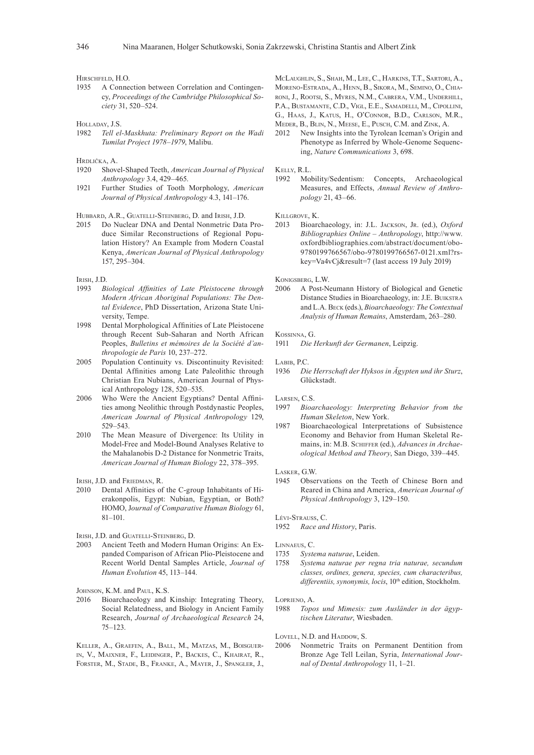Hirschfeld, H.O.

- 1935 A Connection between Correlation and Contingency, *Proceedings of the Cambridge Philosophical Society* 31, 520–524.
- Holladay, J.S.
- 1982 *Tell el-Maskhuta: Preliminary Report on the Wadi Tumilat Project 1978–1979*, Malibu.
- Hrdlička, A.
- 1920 Shovel-Shaped Teeth, *American Journal of Physical Anthropology* 3.4, 429–465.
- 1921 Further Studies of Tooth Morphology, *American Journal of Physical Anthropology* 4.3, 141–176.

HUBBARD, A.R., GUATELLI-STEINBERG, D. and IRISH, J.D.

2015 Do Nuclear DNA and Dental Nonmetric Data Produce Similar Reconstructions of Regional Population History? An Example from Modern Coastal Kenya, *American Journal of Physical Anthropology* 157, 295–304.

IRISH, J.D.<br>1993 *B* 

- $Biological$  *Affinities of Late Pleistocene through Modern African Aboriginal Populations: The Dental Evidence*, PhD Dissertation, Arizona State University, Tempe.
- 1998 Dental Morphological Affinities of Late Pleistocene through Recent Sub-Saharan and North African Peoples, *Bulletins et mémoires de la Société d'anthropologie de Paris* 10, 237–272.
- 2005 Population Continuity vs. Discontinuity Revisited: Dental Affinities among Late Paleolithic through Christian Era Nubians, American Journal of Physical Anthropology 128, 520–535.
- 2006 Who Were the Ancient Egyptians? Dental Affinities among Neolithic through Postdynastic Peoples, *American Journal of Physical Anthropology* 129, 529–543.
- 2010 The Mean Measure of Divergence: Its Utility in Model-Free and Model-Bound Analyses Relative to the Mahalanobis D-2 Distance for Nonmetric Traits, *American Journal of Human Biology* 22, 378–395.

Irish, J.D. and Friedman, R.

- 2010 Dental Affinities of the C-group Inhabitants of Hierakonpolis, Egypt: Nubian, Egyptian, or Both? HOMO, J*ournal of Comparative Human Biology* 61, 81–101.
- Irish, J.D. and Guatelli-Steinberg, D.
- 2003 Ancient Teeth and Modern Human Origins: An Expanded Comparison of African Plio-Pleistocene and Recent World Dental Samples Article, *Journal of Human Evolution* 45, 113–144.

JOHNSON, K.M. and PAUL, K.S.

2016 Bioarchaeology and Kinship: Integrating Theory, Social Relatedness, and Biology in Ancient Family Research, *Journal of Archaeological Research* 24, 75–123.

Keller, A., Graefen, A., Ball, M., Matzas, M., Boisguerin, V., Maixner, F., Leidinger, P., Backes, C., Khairat, R., Forster, M., Stade, B., Franke, A., Mayer, J., Spangler, J., McLaughlin, S., Shah, M., Lee, C., Harkins, T.T., Sartori, A., Moreno-Estrada, A., Henn, B., Sikora, M., Semino, O., Chiaroni, J., Rootsi, S., Myres, N.M., Cabrera, V.M., Underhill, P.A., Bustamante, C.D., Vigl, E.E., Samadelli, M., Cipollini, G., Haas, J., Katus, H., O'Connor, B.D., Carlson, M.R., Meder, B., Blin, N., Meese, E., Pusch, C.M. and Zink, A.

2012 New Insights into the Tyrolean Iceman's Origin and Phenotype as Inferred by Whole-Genome Sequencing, *Nature Communications* 3, 698.

Kelly, R.L.

1992 Mobility/Sedentism: Concepts, Archaeological Measures, and Effects, *Annual Review of Anthropology* 21, 43–66.

Killgrove, K.

2013 Bioarchaeology, in: J.L. Jackson, Jr. (ed.), *Oxford Bibliographies Online – Anthropology*, http://www. oxfordbibliographies.com/abstract/document/obo-9780199766567/obo-9780199766567-0121.xml?rskey=Va4vCj&result=7 (last access 19 July 2019)

KONIGSBERG, L.W.<br>2006 A Post-N

A Post-Neumann History of Biological and Genetic Distance Studies in Bioarchaeology, in: J.E. Buikstra and L.A. Beck (eds.), *Bioarchaeology: The Contextual Analysis of Human Remains*, Amsterdam, 263–280.

#### Kossinna, G.

1911 *Die Herkunft der Germanen*, Leipzig.

Labib, P.C.

1936 *Die Herrschaft der Hyksos in Ägypten und ihr Sturz*, Glückstadt.

LARSEN, C.S.<br>1997 Biog

- Bioarchaeology: Interpreting Behavior from the *Human Skeleton*, New York.
- 1987 Bioarchaeological Interpretations of Subsistence Economy and Behavior from Human Skeletal Remains, in: M.B. Schiffer (ed.), *Advances in Archaeological Method and Theory*, San Diego, 339–445.

Lasker, G.W.

1945 Observations on the Teeth of Chinese Born and Reared in China and America, *American Journal of Physical Anthropology* 3, 129–150.

Lévi-Strauss, C.

1952 *Race and History*, Paris.

LINNAEUS, C.<br>1735 Syst

- 1735 *Systema naturae*, Leiden.
- Systema naturae per regna tria naturae, secundum *classes, ordines, genera, species, cum characteribus,*  differentiis, synonymis, locis, 10<sup>th</sup> edition, Stockholm.

LOPRIENO, A.<br>1988 Topo

1988 *Topos und Mimesis: zum Ausländer in der ägyptischen Literatur*, Wiesbaden.

LOVELL, N.D. and HADDOW, S.

2006 Nonmetric Traits on Permanent Dentition from Bronze Age Tell Leilan, Syria, *International Journal of Dental Anthropology* 11, 1–21.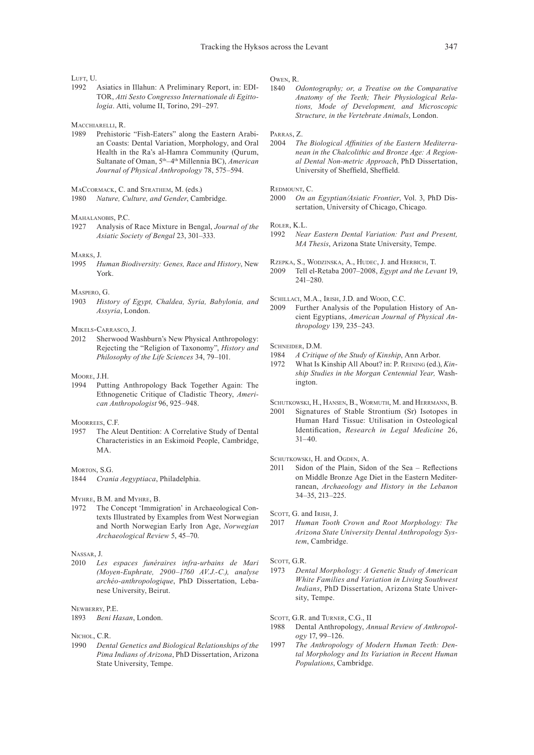LUFT, U.

- 1992 Asiatics in Illahun: A Preliminary Report, in: EDI-TOR, *Atti Sesto Congresso Internationale di Egittologia*. Atti, volume II, Torino, 291–297.
- MACCHIARELLI, R.<br>1989 Prehistor
- Prehistoric "Fish-Eaters" along the Eastern Arabian Coasts: Dental Variation, Morphology, and Oral Health in the Ra's al-Hamra Community (Qurum, Sultanate of Oman, 5th–4th Millennia BC), *American Journal of Physical Anthropology* 78, 575–594.
- MaCcormack, C. and Strathem, M. (eds.) 1980 *Nature, Culture, and Gender*, Cambridge.
- MAHALANOBIS, P.C.<br>1927 Analysis o
- Analysis of Race Mixture in Bengal, *Journal of the Asiatic Society of Bengal* 23, 301–333.

#### Marks, J.

1995 *Human Biodiversity: Genes, Race and History*, New York.

## MASPERO, G.<br>1903 Hist

- History of Egypt, Chaldea, Syria, Babylonia, and *Assyria*, London.
- Mikels-Carrasco, J.
- 2012 Sherwood Washburn's New Physical Anthropology: Rejecting the "Religion of Taxonomy", *History and Philosophy of the Life Sciences* 34, 79–101.
- Moore, J.H.
- 1994 Putting Anthropology Back Together Again: The Ethnogenetic Critique of Cladistic Theory, *American Anthropologist* 96, 925–948.

MOORREES, C.F.

1957 The Aleut Dentition: A Correlative Study of Dental Characteristics in an Eskimoid People, Cambridge, MA.

#### Morton, S.G.

1844 *Crania Aegyptiaca*, Philadelphia.

Myhre, B.M. and Myhre, B.

1972 The Concept 'Immigration' in Archaeological Contexts Illustrated by Examples from West Norwegian and North Norwegian Early Iron Age, *Norwegian Archaeological Review* 5, 45–70.

Nassar, J.<br>2010 La

Les espaces funéraires infra-urbains de Mari *(Moyen-Euphrate, 2900–1760 AV.J.-C.), analyse archéo-anthropologique*, PhD Dissertation, Lebanese University, Beirut.

#### Newberry, P.E.

1893 *Beni Hasan*, London.

#### NICHOL, C.R.

1990 *Dental Genetics and Biological Relationships of the Pima Indians of Arizona*, PhD Dissertation, Arizona State University, Tempe.

Owen, R.

1840 *Odontography; or, a Treatise on the Comparative Anatomy of the Teeth; Their Physiological Relations, Mode of Development, and Microscopic Structure, in the Vertebrate Animals*, London.

# Parras, Z.<br>2004 TI

**The Biological Affinities of the Eastern Mediterra***nean in the Chalcolithic and Bronze Age: A Regional Dental Non-metric Approach*, PhD Dissertation, University of Sheffield, Sheffield.

Redmount, C.

2000 *On an Egyptian/Asiatic Frontier*, Vol. 3, PhD Dissertation, University of Chicago, Chicago.

ROLER, K.L.<br>1992 Nea

*Near Eastern Dental Variation: Past and Present, MA Thesis*, Arizona State University, Tempe.

Rzepka, S., Wodzinska, A., Hudec, J. and Herbich, T.

2009 Tell el-Retaba 2007–2008, *Egypt and the Levant* 19, 241–280.

SCHILLACI, M.A., IRISH, J.D. and WOOD, C.C.<br>2009 Further Analysis of the Population

Further Analysis of the Population History of Ancient Egyptians, *American Journal of Physical Anthropology* 139, 235–243.

SCHNEIDER, D.M.

- 1984 *A Critique of the Study of Kinship*, Ann Arbor.
- 1972 What Is Kinship All About? in: P. Reining (ed.), *Kinship Studies in the Morgan Centennial Year,* Washington.

SCHUTKOWSKI, H., HANSEN, B., WORMUTH, M. and HERRMANN, B.

2001 Signatures of Stable Strontium (Sr) Isotopes in Human Hard Tissue: Utilisation in Osteological Identification, *Research in Legal Medicine* 26,  $31 - 40$ 

SCHUTKOWSKI, H. and OGDEN, A.

- 2011 Sidon of the Plain, Sidon of the Sea Reflections on Middle Bronze Age Diet in the Eastern Mediterranean, *Archaeology and History in the Lebanon* 34–35, 213–225.
- SCOTT, G. and IRISH, J.
- 2017 *Human Tooth Crown and Root Morphology: The Arizona State University Dental Anthropology System*, Cambridge.

- 1973 *Dental Morphology: A Genetic Study of American White Families and Variation in Living Southwest Indians*, PhD Dissertation, Arizona State University, Tempe.
- SCOTT, G.R. and TURNER, C.G., II
- 1988 Dental Anthropology, *Annual Review of Anthropology* 17, 99–126.
- 1997 *The Anthropology of Modern Human Teeth: Dental Morphology and Its Variation in Recent Human Populations*, Cambridge.

SCOTT, G.R.